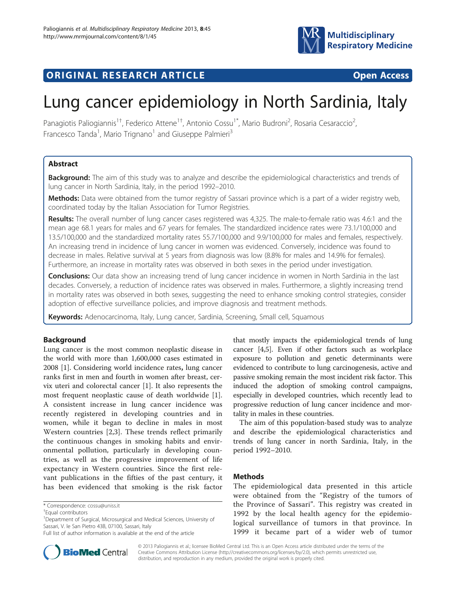

## **ORIGINAL RESEARCH ARTICLE CONSUMING ACCESS**



# Lung cancer epidemiology in North Sardinia, Italy

Panagiotis Paliogiannis<sup>1†</sup>, Federico Attene<sup>1†</sup>, Antonio Cossu<sup>1\*</sup>, Mario Budroni<sup>2</sup>, Rosaria Cesaraccio<sup>2</sup> , Francesco Tanda<sup>1</sup>, Mario Trignano<sup>1</sup> and Giuseppe Palmieri<sup>3</sup>

## Abstract

**Background:** The aim of this study was to analyze and describe the epidemiological characteristics and trends of lung cancer in North Sardinia, Italy, in the period 1992–2010.

Methods: Data were obtained from the tumor registry of Sassari province which is a part of a wider registry web, coordinated today by the Italian Association for Tumor Registries.

Results: The overall number of lung cancer cases registered was 4,325. The male-to-female ratio was 4.6:1 and the mean age 68.1 years for males and 67 years for females. The standardized incidence rates were 73.1/100,000 and 13.5/100,000 and the standardized mortality rates 55.7/100,000 and 9.9/100,000 for males and females, respectively. An increasing trend in incidence of lung cancer in women was evidenced. Conversely, incidence was found to decrease in males. Relative survival at 5 years from diagnosis was low (8.8% for males and 14.9% for females). Furthermore, an increase in mortality rates was observed in both sexes in the period under investigation.

**Conclusions:** Our data show an increasing trend of lung cancer incidence in women in North Sardinia in the last decades. Conversely, a reduction of incidence rates was observed in males. Furthermore, a slightly increasing trend in mortality rates was observed in both sexes, suggesting the need to enhance smoking control strategies, consider adoption of effective surveillance policies, and improve diagnosis and treatment methods.

Keywords: Adenocarcinoma, Italy, Lung cancer, Sardinia, Screening, Small cell, Squamous

## Background

Lung cancer is the most common neoplastic disease in the world with more than 1,600,000 cases estimated in 2008 [[1\]](#page-5-0). Considering world incidence rates, lung cancer ranks first in men and fourth in women after breast, cervix uteri and colorectal cancer [\[1](#page-5-0)]. It also represents the most frequent neoplastic cause of death worldwide [\[1](#page-5-0)]. A consistent increase in lung cancer incidence was recently registered in developing countries and in women, while it began to decline in males in most Western countries [[2,3](#page-5-0)]. These trends reflect primarily the continuous changes in smoking habits and environmental pollution, particularly in developing countries, as well as the progressive improvement of life expectancy in Western countries. Since the first relevant publications in the fifties of the past century, it has been evidenced that smoking is the risk factor

that mostly impacts the epidemiological trends of lung cancer [\[4,5\]](#page-5-0). Even if other factors such as workplace exposure to pollution and genetic determinants were evidenced to contribute to lung carcinogenesis, active and passive smoking remain the most incident risk factor. This induced the adoption of smoking control campaigns, especially in developed countries, which recently lead to progressive reduction of lung cancer incidence and mortality in males in these countries.

The aim of this population-based study was to analyze and describe the epidemiological characteristics and trends of lung cancer in north Sardinia, Italy, in the period 1992–2010.

## Methods

The epidemiological data presented in this article were obtained from the "Registry of the tumors of the Province of Sassari". This registry was created in 1992 by the local health agency for the epidemiological surveillance of tumors in that province. In 1999 it became part of a wider web of tumor



© 2013 Paliogiannis et al.; licensee BioMed Central Ltd. This is an Open Access article distributed under the terms of the Creative Commons Attribution License (<http://creativecommons.org/licenses/by/2.0>), which permits unrestricted use, distribution, and reproduction in any medium, provided the original work is properly cited.

<sup>\*</sup> Correspondence: [cossu@uniss.it](mailto:cossu@uniss.it) †

Equal contributors

<sup>&</sup>lt;sup>1</sup>Department of Surgical, Microsurgical and Medical Sciences, University of Sassari, V. le San Pietro 43B, 07100, Sassari, Italy

Full list of author information is available at the end of the article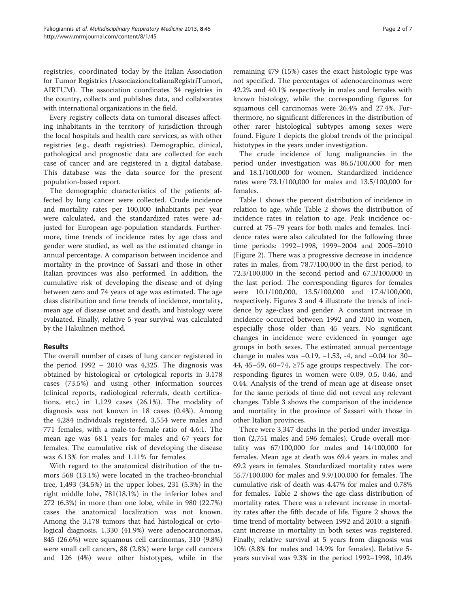registries, coordinated today by the Italian Association for Tumor Registries (AssociazioneItalianaRegistriTumori, AIRTUM). The association coordinates 34 registries in the country, collects and publishes data, and collaborates with international organizations in the field.

Every registry collects data on tumoral diseases affecting inhabitants in the territory of jurisdiction through the local hospitals and health care services, as with other registries (e.g., death registries). Demographic, clinical, pathological and prognostic data are collected for each case of cancer and are registered in a digital database. This database was the data source for the present population-based report.

The demographic characteristics of the patients affected by lung cancer were collected. Crude incidence and mortality rates per 100,000 inhabitants per year were calculated, and the standardized rates were adjusted for European age-population standards. Furthermore, time trends of incidence rates by age class and gender were studied, as well as the estimated change in annual percentage. A comparison between incidence and mortality in the province of Sassari and those in other Italian provinces was also performed. In addition, the cumulative risk of developing the disease and of dying between zero and 74 years of age was estimated. The age class distribution and time trends of incidence, mortality, mean age of disease onset and death, and histology were evaluated. Finally, relative 5-year survival was calculated by the Hakulinen method.

## Results

The overall number of cases of lung cancer registered in the period  $1992 - 2010$  was 4,325. The diagnosis was obtained by histological or cytological reports in 3,178 cases (73.5%) and using other information sources (clinical reports, radiological referrals, death certifications, etc.) in 1,129 cases (26.1%). The modality of diagnosis was not known in 18 cases (0.4%). Among the 4,284 individuals registered, 3,554 were males and 771 females, with a male-to-female ratio of 4.6:1. The mean age was 68.1 years for males and 67 years for females. The cumulative risk of developing the disease was 6.13% for males and 1.11% for females.

With regard to the anatomical distribution of the tumors 568 (13.1%) were located in the tracheo-bronchial tree, 1,493 (34.5%) in the upper lobes, 231 (5.3%) in the right middle lobe, 781(18.1%) in the inferior lobes and 272 (6.3%) in more than one lobe, while in 980 (22.7%) cases the anatomical localization was not known. Among the 3,178 tumors that had histological or cytological diagnosis, 1,330 (41.9%) were adenocarcinomas, 845 (26.6%) were squamous cell carcinomas, 310 (9.8%) were small cell cancers, 88 (2.8%) were large cell cancers and 126 (4%) were other histotypes, while in the

remaining 479 (15%) cases the exact histologic type was not specified. The percentages of adenocarcinomas were 42.2% and 40.1% respectively in males and females with known histology, while the corresponding figures for squamous cell carcinomas were 26.4% and 27.4%. Furthermore, no significant differences in the distribution of other rarer histological subtypes among sexes were found. Figure [1](#page-2-0) depicts the global trends of the principal histotypes in the years under investigation.

The crude incidence of lung malignancies in the period under investigation was 86.5/100,000 for men and 18.1/100,000 for women. Standardized incidence rates were 73.1/100,000 for males and 13.5/100,000 for females.

Table [1](#page-2-0) shows the percent distribution of incidence in relation to age, while Table [2](#page-2-0) shows the distribution of incidence rates in relation to age. Peak incidence occurred at 75–79 years for both males and females. Incidence rates were also calculated for the following three time periods: 1992–1998, 1999–2004 and 2005–2010 (Figure [2\)](#page-3-0). There was a progressive decrease in incidence rates in males, from 78.7/100,000 in the first period, to 72.3/100,000 in the second period and 67.3/100,000 in the last period. The corresponding figures for females were 10.1/100,000, 13.5/100,000 and 17.4/100,000, respectively. Figures [3](#page-3-0) and [4](#page-4-0) illustrate the trends of incidence by age-class and gender. A constant increase in incidence occurred between 1992 and 2010 in women, especially those older than 45 years. No significant changes in incidence were evidenced in younger age groups in both sexes. The estimated annual percentage change in males was −0.19, −1.53, -4, and −0.04 for 30– 44, 45–59, 60–74,  $\geq$ 75 age groups respectively. The corresponding figures in women were 0.09, 0.5, 0.46, and 0.44. Analysis of the trend of mean age at disease onset for the same periods of time did not reveal any relevant changes. Table [3](#page-4-0) shows the comparison of the incidence and mortality in the province of Sassari with those in other Italian provinces.

There were 3,347 deaths in the period under investigation (2,751 males and 596 females). Crude overall mortality was 67/100,000 for males and 14/100,000 for females. Mean age at death was 69.4 years in males and 69.2 years in females. Standardized mortality rates were 55.7/100,000 for males and 9.9/100,000 for females. The cumulative risk of death was 4.47% for males and 0.78% for females. Table [2](#page-2-0) shows the age-class distribution of mortality rates. There was a relevant increase in mortality rates after the fifth decade of life. Figure [2](#page-3-0) shows the time trend of mortality between 1992 and 2010: a significant increase in mortality in both sexes was registered. Finally, relative survival at 5 years from diagnosis was 10% (8.8% for males and 14.9% for females). Relative 5 years survival was 9.3% in the period 1992–1998, 10.4%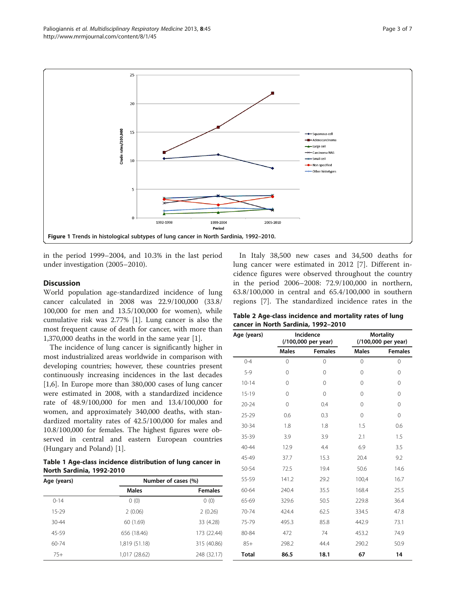<span id="page-2-0"></span>

in the period 1999–2004, and 10.3% in the last period under investigation (2005–2010).

## **Discussion**

World population age-standardized incidence of lung cancer calculated in 2008 was 22.9/100,000 (33.8/ 100,000 for men and 13.5/100,000 for women), while cumulative risk was 2.77% [[1\]](#page-5-0). Lung cancer is also the most frequent cause of death for cancer, with more than 1,370,000 deaths in the world in the same year [\[1\]](#page-5-0).

The incidence of lung cancer is significantly higher in most industrialized areas worldwide in comparison with developing countries; however, these countries present continuously increasing incidences in the last decades [[1,6\]](#page-5-0). In Europe more than 380,000 cases of lung cancer were estimated in 2008, with a standardized incidence rate of 48.9/100,000 for men and 13.4/100,000 for women, and approximately 340,000 deaths, with standardized mortality rates of 42.5/100,000 for males and 10.8/100,000 for females. The highest figures were observed in central and eastern European countries (Hungary and Poland) [[1\]](#page-5-0).

Table 1 Age-class incidence distribution of lung cancer in North Sardinia, 1992-2010

| Age (years) | Number of cases (%) |                |  |  |
|-------------|---------------------|----------------|--|--|
|             | <b>Males</b>        | <b>Females</b> |  |  |
| $0 - 14$    | 0(0)                | 0(0)           |  |  |
| $15 - 29$   | 2(0.06)             | 2(0.26)        |  |  |
| $30 - 44$   | 60 (1.69)           | 33 (4.28)      |  |  |
| 45-59       | 656 (18.46)         | 173 (22.44)    |  |  |
| $60 - 74$   | 1,819 (51.18)       | 315 (40.86)    |  |  |
| $75+$       | 1,017 (28.62)       | 248 (32.17)    |  |  |

In Italy 38,500 new cases and 34,500 deaths for lung cancer were estimated in 2012 [[7\]](#page-5-0). Different incidence figures were observed throughout the country in the period 2006–2008: 72.9/100,000 in northern, 63.8/100,000 in central and 65.4/100,000 in southern regions [[7\]](#page-5-0). The standardized incidence rates in the

| Table 2 Age-class incidence and mortality rates of lung |  |
|---------------------------------------------------------|--|
| cancer in North Sardinia, 1992-2010                     |  |

| Age (years)  | Incidence<br>(/100,000 per year) |                | <b>Mortality</b><br>(/100,000 per year) |                |
|--------------|----------------------------------|----------------|-----------------------------------------|----------------|
|              | <b>Males</b>                     | <b>Females</b> | <b>Males</b>                            | <b>Females</b> |
| $0 - 4$      | 0                                | $\mathbf 0$    | 0                                       | $\overline{0}$ |
| $5-9$        | $\Omega$                         | $\Omega$       | $\Omega$                                | $\Omega$       |
| $10 - 14$    | $\Omega$                         | $\Omega$       | $\Omega$                                | $\Omega$       |
| $15-19$      | $\Omega$                         | $\Omega$       | $\Omega$                                | $\Omega$       |
| $20 - 24$    | $\mathbf 0$                      | 0.4            | $\Omega$                                | $\Omega$       |
| $25 - 29$    | 0.6                              | 0.3            | $\Omega$                                | 0              |
| 30-34        | 1.8                              | 1.8            | 1.5                                     | 0.6            |
| 35-39        | 3.9                              | 3.9            | 2.1                                     | 1.5            |
| $40 - 44$    | 12.9                             | 4.4            | 6.9                                     | 3.5            |
| 45-49        | 37.7                             | 15.3           | 20.4                                    | 9.2            |
| 50-54        | 72.5                             | 19.4           | 50.6                                    | 14.6           |
| 55-59        | 141.2                            | 29.2           | 100,4                                   | 16.7           |
| 60-64        | 240.4                            | 35.5           | 168.4                                   | 25.5           |
| 65-69        | 329.6                            | 50.5           | 229.8                                   | 36.4           |
| 70-74        | 424.4                            | 62.5           | 334.5                                   | 47.8           |
| 75-79        | 495.3                            | 85.8           | 442.9                                   | 73.1           |
| 80-84        | 472                              | 74             | 453.2                                   | 74.9           |
| $85+$        | 298.2                            | 44.4           | 290.2                                   | 50.9           |
| <b>Total</b> | 86.5                             | 18.1           | 67                                      | 14             |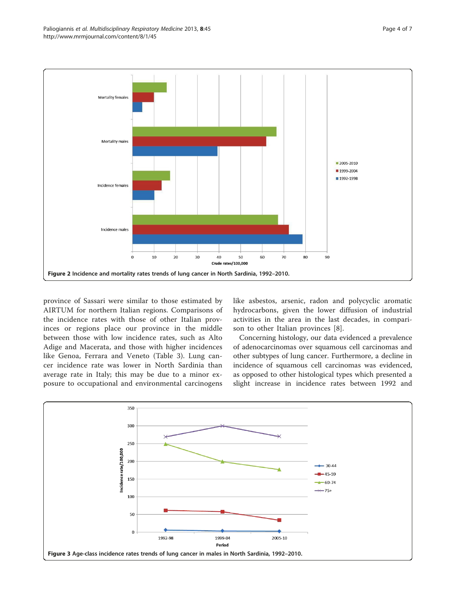<span id="page-3-0"></span>

province of Sassari were similar to those estimated by AIRTUM for northern Italian regions. Comparisons of the incidence rates with those of other Italian provinces or regions place our province in the middle between those with low incidence rates, such as Alto Adige and Macerata, and those with higher incidences like Genoa, Ferrara and Veneto (Table [3\)](#page-4-0). Lung cancer incidence rate was lower in North Sardinia than average rate in Italy; this may be due to a minor exposure to occupational and environmental carcinogens like asbestos, arsenic, radon and polycyclic aromatic hydrocarbons, given the lower diffusion of industrial activities in the area in the last decades, in comparison to other Italian provinces [[8](#page-5-0)].

Concerning histology, our data evidenced a prevalence of adenocarcinomas over squamous cell carcinomas and other subtypes of lung cancer. Furthermore, a decline in incidence of squamous cell carcinomas was evidenced, as opposed to other histological types which presented a slight increase in incidence rates between 1992 and

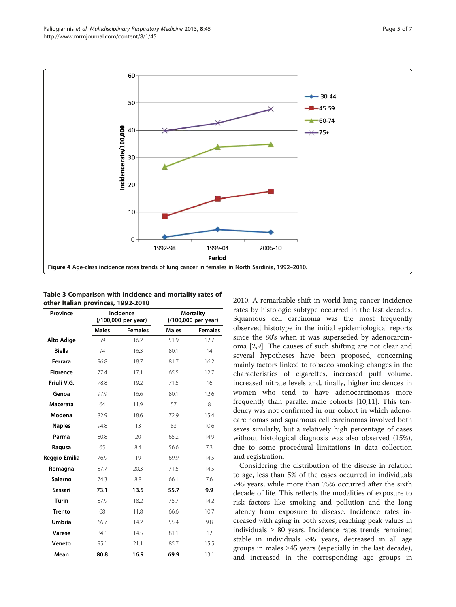<span id="page-4-0"></span>Paliogiannis et al. Multidisciplinary Respiratory Medicine 2013, 8:45 Page 5 of 7 http://www.mrmjournal.com/content/8/1/45



Table 3 Comparison with incidence and mortality rates of other Italian provinces, 1992-2010

| Province          | Incidence<br>(/100,000 per year) |                |              | <b>Mortality</b><br>(/100,000 per year) |  |
|-------------------|----------------------------------|----------------|--------------|-----------------------------------------|--|
|                   | <b>Males</b>                     | <b>Females</b> | <b>Males</b> | <b>Females</b>                          |  |
| <b>Alto Adige</b> | 59                               | 16.2           | 51.9         | 12.7                                    |  |
| <b>Biella</b>     | 94                               | 16.3           | 80.1         | 14                                      |  |
| Ferrara           | 96.8                             | 18.7           | 81.7         | 16.2                                    |  |
| <b>Florence</b>   | 77.4                             | 17.1           | 65.5         | 12.7                                    |  |
| Friuli V.G.       | 78.8                             | 19.2           | 71.5         | 16                                      |  |
| Genoa             | 97.9                             | 16.6           | 80.1         | 12.6                                    |  |
| Macerata          | 64                               | 11.9           | 57           | 8                                       |  |
| Modena            | 82.9                             | 18.6           | 72.9         | 15.4                                    |  |
| <b>Naples</b>     | 94.8                             | 13             | 83           | 10.6                                    |  |
| Parma             | 80.8                             | 20             | 65.2         | 14.9                                    |  |
| Ragusa            | 65                               | 8.4            | 56.6         | 7.3                                     |  |
| Reggio Emilia     | 76.9                             | 19             | 69.9         | 14.5                                    |  |
| Romagna           | 87.7                             | 20.3           | 71.5         | 14.5                                    |  |
| Salerno           | 74.3                             | 8.8            | 66.1         | 7.6                                     |  |
| <b>Sassari</b>    | 73.1                             | 13.5           | 55.7         | 9.9                                     |  |
| <b>Turin</b>      | 87.9                             | 18.2           | 75.7         | 14.2                                    |  |
| <b>Trento</b>     | 68                               | 11.8           | 66.6         | 10.7                                    |  |
| <b>Umbria</b>     | 66.7                             | 14.2           | 55.4         | 9.8                                     |  |
| Varese            | 84.1                             | 14.5           | 81.1         | 12                                      |  |
| Veneto            | 95.1                             | 21.1           | 85.7         | 15.5                                    |  |
| Mean              | 80.8                             | 16.9           | 69.9         | 13.1                                    |  |

2010. A remarkable shift in world lung cancer incidence rates by histologic subtype occurred in the last decades. Squamous cell carcinoma was the most frequently observed histotype in the initial epidemiological reports since the 80's when it was superseded by adenocarcinoma [\[2,9](#page-5-0)]. The causes of such shifting are not clear and several hypotheses have been proposed, concerning mainly factors linked to tobacco smoking: changes in the characteristics of cigarettes, increased puff volume, increased nitrate levels and, finally, higher incidences in women who tend to have adenocarcinomas more frequently than parallel male cohorts [[10](#page-5-0)[,11](#page-6-0)]. This tendency was not confirmed in our cohort in which adenocarcinomas and squamous cell carcinomas involved both sexes similarly, but a relatively high percentage of cases without histological diagnosis was also observed (15%), due to some procedural limitations in data collection and registration.

Considering the distribution of the disease in relation to age, less than 5% of the cases occurred in individuals <45 years, while more than 75% occurred after the sixth decade of life. This reflects the modalities of exposure to risk factors like smoking and pollution and the long latency from exposure to disease. Incidence rates increased with aging in both sexes, reaching peak values in individuals  $\geq 80$  years. Incidence rates trends remained stable in individuals <45 years, decreased in all age groups in males ≥45 years (especially in the last decade), and increased in the corresponding age groups in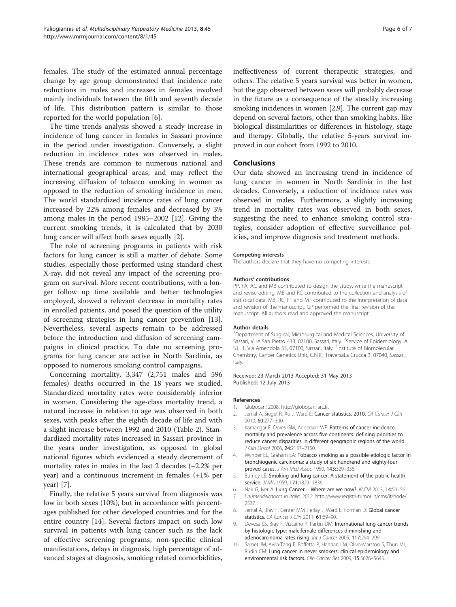<span id="page-5-0"></span>females. The study of the estimated annual percentage change by age group demonstrated that incidence rate reductions in males and increases in females involved mainly individuals between the fifth and seventh decade of life. This distribution pattern is similar to those reported for the world population [6].

The time trends analysis showed a steady increase in incidence of lung cancer in females in Sassari province in the period under investigation. Conversely, a slight reduction in incidence rates was observed in males. These trends are common to numerous national and international geographical areas, and may reflect the increasing diffusion of tobacco smoking in women as opposed to the reduction of smoking incidence in men. The world standardized incidence rates of lung cancer increased by 22% among females and decreased by 3% among males in the period 1985–2002 [\[12](#page-6-0)]. Giving the current smoking trends, it is calculated that by 2030 lung cancer will affect both sexes equally [2].

The role of screening programs in patients with risk factors for lung cancer is still a matter of debate. Some studies, especially those performed using standard chest X-ray, did not reveal any impact of the screening program on survival. More recent contributions, with a longer follow up time available and better technologies employed, showed a relevant decrease in mortality rates in enrolled patients, and posed the question of the utility of screening strategies in lung cancer prevention [\[13](#page-6-0)]. Nevertheless, several aspects remain to be addressed before the introduction and diffusion of screening campaigns in clinical practice. To date no screening programs for lung cancer are active in North Sardinia, as opposed to numerous smoking control campaigns.

Concerning mortality, 3,347 (2,751 males and 596 females) deaths occurred in the 18 years we studied. Standardized mortality rates were considerably inferior in women. Considering the age-class mortality trend, a natural increase in relation to age was observed in both sexes, with peaks after the eighth decade of life and with a slight increase between 1992 and 2010 (Table [2](#page-2-0)). Standardized mortality rates increased in Sassari province in the years under investigation, as opposed to global national figures which evidenced a steady decrement of mortality rates in males in the last 2 decades (−2.2% per year) and a continuous increment in females (+1% per year) [7].

Finally, the relative 5 years survival from diagnosis was low in both sexes (10%), but in accordance with percentages published for other developed countries and for the entire country [\[14\]](#page-6-0). Several factors impact on such low survival in patients with lung cancer such as the lack of effective screening programs, non-specific clinical manifestations, delays in diagnosis, high percentage of advanced stages at diagnosis, smoking related comorbidities, ineffectiveness of current therapeutic strategies, and others. The relative 5 years survival was better in women, but the gap observed between sexes will probably decrease in the future as a consequence of the steadily increasing smoking incidences in women [2,9]. The current gap may depend on several factors, other than smoking habits, like biological dissimilarities or differences in histology, stage and therapy. Globally, the relative 5-years survival improved in our cohort from 1992 to 2010.

### Conclusions

Our data showed an increasing trend in incidence of lung cancer in women in North Sardinia in the last decades. Conversely, a reduction of incidence rates was observed in males. Furthermore, a slightly increasing trend in mortality rates was observed in both sexes, suggesting the need to enhance smoking control strategies, consider adoption of effective surveillance policies, and improve diagnosis and treatment methods.

#### Competing interests

The authors declare that they have no competing interests.

#### Authors' contributions

PP, FA, AC and MB contributed to design the study, write the manuscript and revise editing. MB and RC contributed to the collection and analysis of statistical data. MB, RC, FT and MT contributed to the interpretation of data and revision of the manuscript. GP performed the final revision of the manuscript. All authors read and approved the manuscript.

#### Author details

<sup>1</sup>Department of Surgical, Microsurgical and Medical Sciences, University of Sassari, V. le San Pietro 43B, 07100, Sassari, Italy. <sup>2</sup>Service of Epidemiology, A. S.L. 1, Via Amendola 55, 07100, Sassari, Italy. <sup>3</sup>Institute of Biomolecular Chemistry, Cancer Genetics Unit, C.N.R., TraversaLa Crucca 3, 07040, Sassari, Italy.

#### Received: 23 March 2013 Accepted: 31 May 2013 Published: 12 July 2013

#### References

- 1. Globocan: 2008.<http://globocan.iarc.fr>.
- 2. Jemal A, Siegel R, Xu J, Ward E: Cancer statistics, 2010. CA Cancer J Clin 2010, 60:277–300.
- 3. Kamangar F, Dores GM, Anderson WF: Patterns of cancer incidence, mortality and prevalence across five continents: defining priorities to reduce cancer disparities in different geographic regions of the world. J Clin Oncol 2006, 24:2137–2150.
- 4. Wynder EL, Graham EA: Tobacco smoking as a possible etiologic factor in bronchiogenic carcinoma; a study of six hundrend and eighty-four proved cases. J Am Med Assoc 1950, 143:329–336.
- 5. Burney LE: Smoking and lung cancer. A statement of the public health service. JAMA 1959, 171:1829–1836.
- 6. Nair G, Iyer A: Lung Cancer Where are we now? JIACM 2013, 14:50–56.
- 7. I numeridelcancro in Italia. 2012. [http://www.registri-tumori.it/cms/it/node/](http://www.registri-tumori.it/cms/it/node/2537) [2537](http://www.registri-tumori.it/cms/it/node/2537).
- 8. Jemal A, Bray F, Center MM, Ferlay J, Ward E, Forman D: Global cancer statistics. CA Cancer J Clin 2011, 61:69-90.
- 9. Devesa SS, Bray F, Vizcaino P, Parkin DM: International lung cancer trends by histologic type: male:female differences diminishing and adenocarcinoma rates rising. Int J Cancer 2005, 117:294-299
- 10. Samet JM, Avila-Tang E, Boffetta P, Hannan LM, Olivo-Marston S, Thun MJ, Rudin CM: Lung cancer in never smokers: clinical epidemiology and environmental risk factors. Clin Cancer Res 2009, 15:5626–5645.